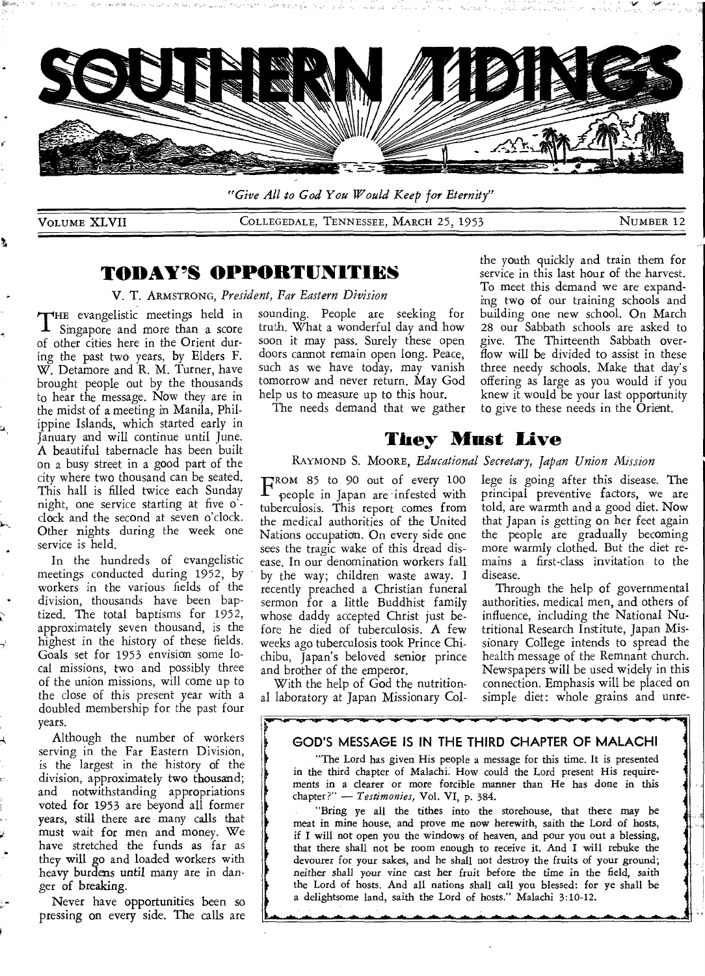

*"Give All to God You Would Keep for Eternity"* 

VOLUME XLVII COLLEGEDALE, TENNESSEE, MARCH 25, 1953 NUMBER 12

## **TODAY'S OPPORTUNITIES**

V. T. ARMSTRONG, *President, Far Eastern Division* 

THE evangelistic meetings held in<br>I Singapore and more than a score HE evangelistic meetings held in of other cities here in the Orient during the past two years, by Elders F. W. Detamore and R. M. Turner, have brought people out by the thousands to hear the message. Now they are in the midst of a meeting in Manila, Philippine Islands, which started early in January and will continue until June. A beautiful tabernacle has been built on a busy street in a good part of the city where two thousand can be seated. This hall is filled twice each Sunday night, one service starting at five o' clock and the second at seven o'clock. Other nights during the week one service is held.

In the hundreds of evangelistic meetings conducted during 1952, by workers in the various fields of the division, thousands have been baptized. The total baptisms for 1952, approximately seven thousand, is the highest in the history of these fields. Goals set for 1953 envision some local missions, two and possibly three of the union missions, will come up to the close of this present year with a doubled membership for the past four years.

Although the number of workers serving in the Far Eastern Division, is the largest in the history of the division, approximately two thousand; and notwithstanding appropriations voted for 1953 are beyond all former years, still there are many calls that must wait for men and money. We have stretched the funds as far as they will go and loaded workers with heavy burdens until many are in danger of breaking.

Never have opportunities been so pressing on every side. The calls are sounding. People are seeking for truth. What a wonderful day and how soon it may pass. Surely these open doors cannot remain open long. Peace, such as we have today, may vanish tomorrow and never return. May God help us to measure up to this hour.

The needs demand that we gather

the youth quickly and train them for service in this last hour of the harvest. To meet this demand we are expanding two of our training schools and building one new school. On March 28 our Sabbath schools are asked to give. The Thirteenth Sabbath overflow will be divided to assist in these three needy schools. Make that day's offering as large as you would if you knew it would be your last opportunity to give to these needs in the Orient.

## **They Must Live**

#### RAYMOND S. MOORE, *Educational Secretary, Japan Union Mission*

FROM 85 to 90 out of every 100<br>P people in Japan are infested with people in Japan are infested with tuberculosis. This report comes from the medical authorities of the United Nations occupation. On every side one sees the tragic wake of this dread disease. In our denomination workers fall by the way; children waste away. I recently preached a Christian funeral sermon for a little Buddhist family whose daddy accepted Christ just before he died of tuberculosis. A few weeks ago tuberculosis took Prince Chichibu, Japan's beloved senior prince and brother of the emperor.

lege is going after this disease. The principal preventive factors, we are told, are warmth and a good diet. Now that Japan is getting on her feet again the people are gradually becoming more warmly clothed. But the diet remains a first-class invitation to the disease.

Through the help of governmental authorities, medical men, and others of influence, including the National Nutritional Research Institute, Japan Missionary College intends to spread the health message of the Remnant church. Newspapers will be used widely in this connection. Emphasis will be placed on simple diet: whole grains and unre-

**4** 

1

**4** 

With the help of God the nutritional laboratory at Japan Missionary Col-

#### **GOD'S MESSAGE IS IN THE THIRD CHAPTER OF MALACHI**

"The Lord has given His people a message for this time. It is presented in the third chapter of Malachi. How could the Lord present His requirements in a clearer or more forcible manner than He has done in this chapter?" — *Testimonies,* Vol. VI, p. 384.

"Bring ye all the tithes into the storehouse, that there may be meat in mine house, and prove me now herewith, saith the Lord of hosts, if I will not open you the windows of heaven, and pour you out a blessing, that there shall not be room enough to receive it. And I will rebuke the devourer for your sakes, and he shall not destroy the fruits of your ground; neither shall your vine *cast* her fruit before the time in the field, saith the Lord of hosts. And all nations shall call you blessed: for ye shall be a delightsome land, saith the Lord of hosts." Malachi 3:10-12.

*Imam- 01111.-- a I I I.\_* **-.111•.. .116.**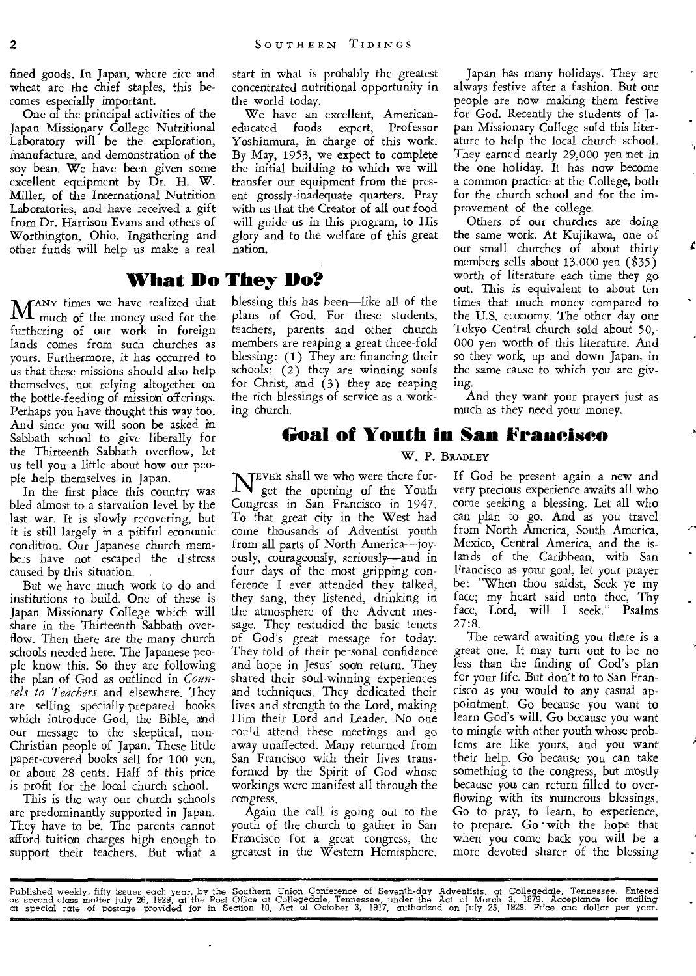fined goods. In Japan, where rice and wheat are the chief staples, this becomes especially important.

One of the principal activities of the Japan Missionary College Nutritional Laboratory will be the exploration, manufacture, and demonstration of the soy bean. We have been given some excellent equipment by Dr. H. W. Miller, of the International Nutrition Laboratories, and have received a gift from Dr. Harrison Evans and others of Worthington, Ohio. Ingathering and other funds will help us make a real

**M**ANY times we have realized that much of the money used for the furthering of our work in foreign lands comes from such churches as yours. Furthermore, it has occurred to us that these missions should also help themselves, not relying altogether on the bottle-feeding of mission offerings. Perhaps you have thought this way too. And since you will soon be asked in Sabbath school to give liberally for the Thirteenth Sabbath overflow, let us tell you a little about how our people help themselves in Japan.

In the first place this country was bled almost to a starvation level by the last war. It is slowly recovering, but it is still largely in a pitiful economic condition. Our Japanese church members have not escaped the distress caused by this situation.

But we have much work to do and institutions to build. One of these is Japan Missionary College which will share in the Thirteenth Sabbath overflow. Then there are the many church schools needed here. The Japanese people know this. So they are following the plan of God as outlined in *Counsels to Teachers* and elsewhere. They are selling specially-prepared books which introduce God, the Bible, and our message to the skeptical, non-Christian people of Japan. These little paper-covered books sell for 100 yen, or about 28 cents. Half of this price is profit for the local church school.

This is the way our church schools are predominantly supported in Japan. They have to be. The parents cannot afford tuition charges high enough to support their teachers. But what a

start in what is probably the greatest concentrated nutritional opportunity in the world today.

We have an excellent, Americaneducated foods expert, Professor Yoshinmura, in charge of this work. By May, 1953, we expect to complete the initial building to which we will transfer our equipment from the present grossly-inadequate quarters. Pray with us that the Creator of all our food will guide us in this program, to His glory and to the welfare of this great nation.

# **What Do They Do?**

blessing this has been—like all of the plans of God. For these students, teachers, parents and other church members are reaping a great three-fold blessing: (1) They are financing their schools; (2) they are winning souls for Christ, and (3) they are reaping the rich blessings of service as a working church.

Japan has many holidays. They are always festive after a fashion. But our people are now making them festive for God. Recently the students of Japan Missionary College sold this literature to help the local church school. They earned nearly 29,000 yen net in the one holiday. It has now become a common practice at the College, both for the church school and for the improvement of the college.

Others of our churches are doing the same work. At Kujikawa, one of our small churches of about thirty members sells about 13,000 yen (\$35) worth of literature each time they go out. This is equivalent to about ten times that much money compared to the U.S. economy. The other day our Tokyo Central church sold about 50,- 000 yen worth of this literature. And so they work, up and down Japan, in the same cause to which you are giving.

And they want your prayers just as much as they need your money.

### **Goal of Youth in San Francisco**

#### W. P. BRADLEY

NEVER shall we who were there for-<br>get the opening of the Youth get the opening of the Youth Congress in San Francisco in 1947. To that great city in the West had come thousands of Adventist youth from all parts of North America—joyously, courageously, seriously—and in four days of the most gripping conference I ever attended they talked, they sang, they listened, drinking in the atmosphere of the Advent message. They restudied the basic tenets of God's great message for today. They told of their personal confidence and hope in Jesus' soon return. They shared their soul-winning experiences and techniques. They dedicated their lives and strength to the Lord, making Him their Lord and Leader. No one could attend these meetings and go away unaffected. Many returned from San Francisco with their lives transformed by the Spirit of God whose workings were manifest all through the congress.

Again the call is going out to the youth of the church to gather in San Francisco for a great congress, the greatest in the Western Hemisphere.

If God be present again a new and very precious experience awaits all who come seeking a blessing. Let all who can plan to go. And as you travel from North America, South America, Mexico, Central America, and the islands of the Caribbean, with San Francisco as your goal, let your prayer be: "When thou saidst, Seek ye my face; my heart said unto thee, Thy face, Lord, will I seek." Psalms 27:8.

The reward awaiting you there is a great one. It may turn out to be no less than the finding of God's plan for your life. But don't to to San Francisco as you would to any casual appointment. Go because you want to learn God's will. Go because you want to mingle with other youth whose problems are like yours, and you want their help. Go because you can take something to the congress, but mostly because you can return filled to overflowing with its numerous blessings. Go to pray, to learn, to experience, to prepare. Go with the hope that when you come back you will be a more devoted sharer of the blessing

Published weekly, fiity issues each year, by the Southern Union Conference of Seventh-day Adventists, at Collegedale, Tennessee. Entered<br>as second-class matter July 26, 1929, at the Post Office at Collegedale, Tennessee, u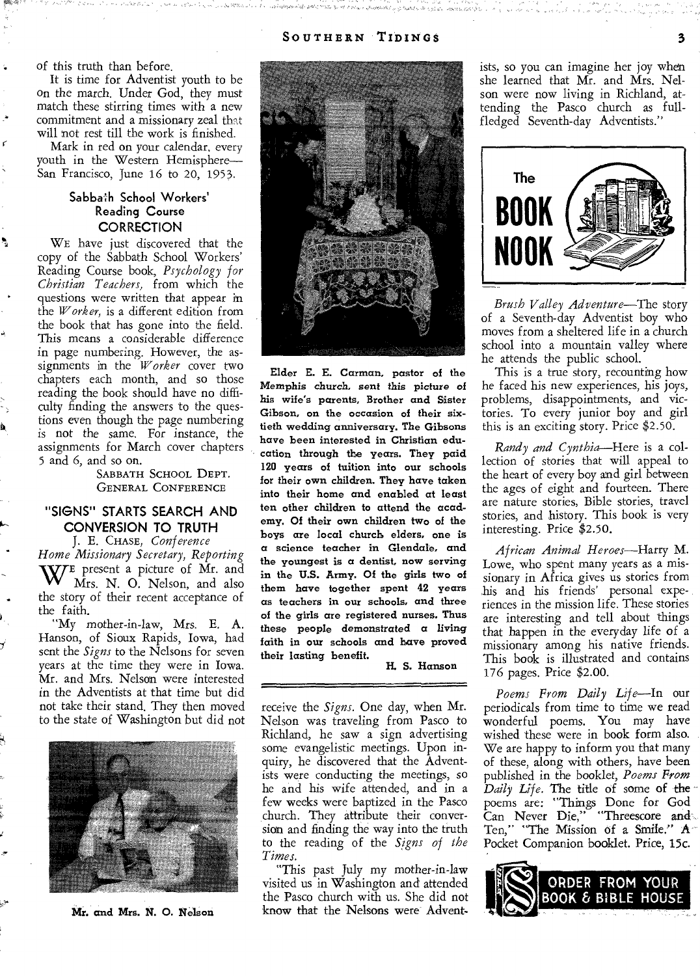of this truth than before.

It is time for Adventist youth to be on the march. Under God, they must match these stirring times with a new commitment and a missionary zeal that will not rest till the work is finished.

Mark in red on your calendar, every youth in the Western Hemisphere— San Francisco, June 16 to 20, 1953.

#### Sabbath School Workers' Reading Course **CORRECTION**

WE have just discovered that the copy of the Sabbath School Workers' Reading Course book, *Psychology for Christian Teachers,* from which the questions were written that appear in the *Worker,* is a different edition from the book that has gone into the field. This means a considerable difference in page numbering. However, the assignments in the *Worker* cover two chapters each month, and so those reading the book should have no difficulty finding the answers to the questions even though the page numbering is not the same. For instance, the assignments for March cover chapters 5 and 6, and so on.

> SABBATH SCHOOL DEPT. GENERAL CONFERENCE

#### "SIGNS" STARTS SEARCH AND CONVERSION TO TRUTH

J. E. CHASE, *Conference Home Missionary Secretary, Reporting*  WE present a picture of Mr. and Mrs. N. O. Nelson, and also the story of their recent acceptance of the faith.

•

"My mother-in-law, Mrs. E. A. Hanson, of Sioux Rapids, Iowa, had sent the *Signs* to the Nelsons for seven years at the time they were in Iowa. Mr. and Mrs. Nelson were interested in the Adventists at that time but did not take their stand. They then moved to the state of Washington but did not



Mr. and *Mrs. N.* 0. *Nelson* 



Elder E. E. Carman, pastor of the Memphis church, *sent* this *picture of*  his wife's parents, Brother and Sister Gibson, on the occasion of their sixtieth wedding anniversary. The Gibsons have been interested in Christian education through the years. They paid 120 years of tuition into our schools for their own children. They have taken into their home and enabled at least ten other children to attend the academy. Of their own children two of the boys are local church, elders, one is a science teacher in Glendale, and the youngest is a dentist, now serving in the U.S. Army. Of the girls two of them have together spent 42 years as teachers in our schools, and three of the girls are registered nurses. Thus these people *demonstrated a living faith* in our schools and have proved their lasting benefit.

H. S. Hanson

receive the *Signs.* One day, when Mr. Nelson was traveling from Pasco to Richland, he saw a sign advertising some evangelistic meetings. Upon inquiry, he discovered that the Adventists were conducting the meetings, so he and his wife attended, and in a few weeks were baptized in the Pasco church. They attribute their conversion and finding the way into the truth to the reading of the *Signs of the Times.* 

"This past July my mother-in-law visited us in Washington and attended the Pasco church with us. She did not know that the Nelsons were Adventists, so you can imagine her joy when she learned that Mr. and Mrs. Nelson were now living in Richland, attending the Pasco church as fullfledged Seventh-day Adventists."



*Brush Valley Adventure—The* story of a Seventh-day Adventist boy who moves from a sheltered life in a church school into a mountain valley where he attends the public school.

This is a true story, recounting how he faced his new experiences, his joys, problems, disappointments, and victories. To every junior boy and girl this is an exciting story. Price \$2.50.

*Randy and Cynthia—Here* is a collection of stories that will appeal to the heart of every boy and girl between the ages of eight and fourteen. There are nature stories, Bible stories, travel stories, and history. This book is very interesting. Price \$2.50.

*African Animal Heroes—Harry* M. Lowe, who spent many years as a missionary in Africa gives us stories from his and his friends' personal experiences in the mission life. These stories are interesting and tell about things that happen in the everyday life of a missionary among his native friends. This book is illustrated and contains 176 pages. Price \$2.00.

*Poems From Daily Life—In* our periodicals from time to time we read wonderful poems. You may have wished these were in book form also. We are happy to inform you that many of these, along with others, have been published in the booklet, *Poems From Daily Life.* The title of some of the poems are: "Things Done for God Can Never Die," "Threescore and Ten," "The Mission of a Smile." A Pocket Companion booklet. Price, 15c.

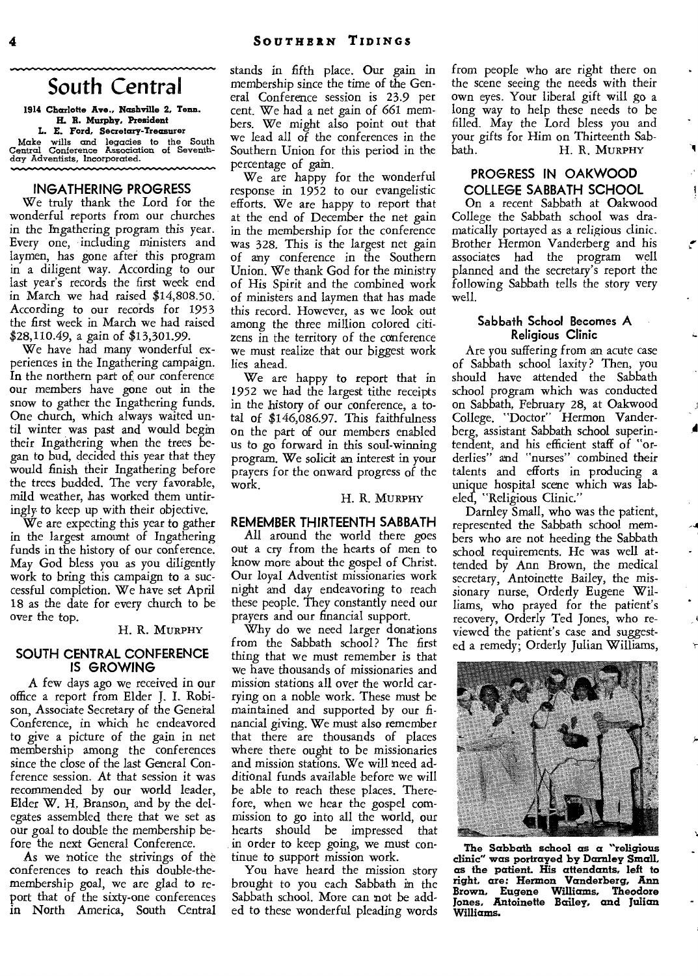## **South Central**

1914 Charlotte Ave., Nashville 2, Tenn. **H. R. Murphy, President** 

**L. E. Ford, Secretary-Treasurer**  Make wills and legacies to the South Central Conference Association of Seventhday Adventists, Incorporated.

#### **INGATHERING PROGRESS**

We truly thank the Lord for the wonderful reports from our churches in the Ingathering program this year. Every one, including ministers and laymen, has gone after this program in a diligent way. According to our last year's records the first week end in March we had raised \$14,808.50. According to our records for 1953 the first week in March we had raised \$28,110.49, a gain of \$13,301.99.

We have had many wonderful experiences in the Ingathering campaign. In the northern part of our conference our members have gone out in the snow to gather the Ingathering funds. One church, which always waited until winter was past and would begin their Ingathering when the trees began to bud, decided this year that they would finish their Ingathering before the trees budded. The very favorable, mild weather, has worked them untiringly. to keep up with their objective.

We are expecting this year to gather in the largest amount of Ingathering funds in the history of our conference. May God bless you as you diligently work to bring this campaign to a successful completion. We have set April 18 as the date for every church to be over the top.

#### H. **R.** MURPHY

#### **SOUTH CENTRAL CONFERENCE IS GROWING**

A few days ago we received in our office a report from Elder J. I. Robison, Associate Secretary of the General Conference, in which he endeavored to give a picture of the gain in net membership among the conferences since the close of the last General Conference session. At that session it was recommended by our world leader, Elder W. H. Branson, and by the delegates assembled there that we set as our goal to double the membership before the next General Conference.

As we notice the strivings of the conferences to reach this double-themembership goal, we are glad to report that of the sixty-one conferences in North America, South Central stands in fifth place. Our gain in membership since the time of the General Conference session is 23.9 per cent. We had a net gain of 661 members. We might also point out that we lead all of the conferences in the Southern Union for this period in the percentage of gain.

We are happy for the wonderful response in 1952 to our evangelistic efforts. We are happy to report that at the end of December the net gain in the membership for the conference was 328. This is the largest net gain of any conference in the Southern Union. We thank God for the ministry of His Spirit and the combined work of ministers and laymen that has made this record. However, as we look out among the three million colored citizens in the territory of the conference we must realize that our biggest work lies ahead.

We are happy to report that in 1952 we had the largest tithe receipts in the history of our conference, a total of \$146,086.97. This faithfulness on the part of our members enabled us to go forward in this soul-winning program. We solicit an interest in your prayers for the onward progress of the work.

#### H. R. MURPHY

#### **REMEMBER THIRTEENTH SABBATH**

All around the world there goes out a cry from the hearts of men to know more about the gospel of Christ. Our loyal Adventist missionaries work night and day endeavoring to reach these people. They constantly need our prayers and our financial support.

Why do we need larger donations from the Sabbath school? The first thing that we must remember is that we have thousands of missionaries and mission stations all over the world carrying on a noble work. These must be maintained and supported by our financial giving. We must also remember that there are thousands of places where there ought to be missionaries and mission stations. We will need additional funds available before we will be able to reach these places. Therefore, when we hear the gospel commission to go into all the world, our hearts should be impressed that in order to keep going, we must continue to support mission work.

You have heard the mission story brought to you each Sabbath in the Sabbath school. More can not be added to these wonderful pleading words from people who are right there on the scene seeing the needs with their own eyes. Your liberal gift will go a long way to help these needs to be filled. May the Lord bless you and your gifts for Him on Thirteenth Sab-<br>bath. H. R. MURPHY H. R. MURPHY

#### **PROGRESS IN OAKWOOD COLLEGE SABBATH SCHOOL**

On a recent Sabbath at Oakwood College the Sabbath school was dramatically portayed as a religious clinic. Brother Hermon Vanderberg and his associates had the program well planned and the secretary's report the following Sabbath tells the story very well.

#### **Sabbath School Becomes A Religious Clinic**

Are you suffering from an acute case of Sabbath school laxity? Then, you should have attended the Sabbath school program which was conducted on Sabbath, February 28, at Oakwood College. "Doctor" Hermon Vanderberg, assistant Sabbath school superintendent, and his efficient staff of "orderlies" and "nurses" combined their talents and efforts in producing a unique hospital scene which was labeled, "Religious Clinic."

Darnley Small, who was the patient, represented the Sabbath school members who are not heeding the Sabbath school requirements. He was well attended by Ann Brown, the medical secretary, Antoinette Bailey, the missionary nurse, Orderly Eugene Williams, who prayed for the patient's recovery, Orderly Ted Jones, who reviewed the patient's case and suggested a remedy; Orderly Julian Williams,

**-4** 



**The Sabbath school as a "religious clinic" was portrayed by Darnley Small, as the patient. His attendants, left to right, are: Hermon Vanderberg, Ann Brown, Eugene Williams, Theodore Jones, Antoinette Bailey, and Julian Williams.**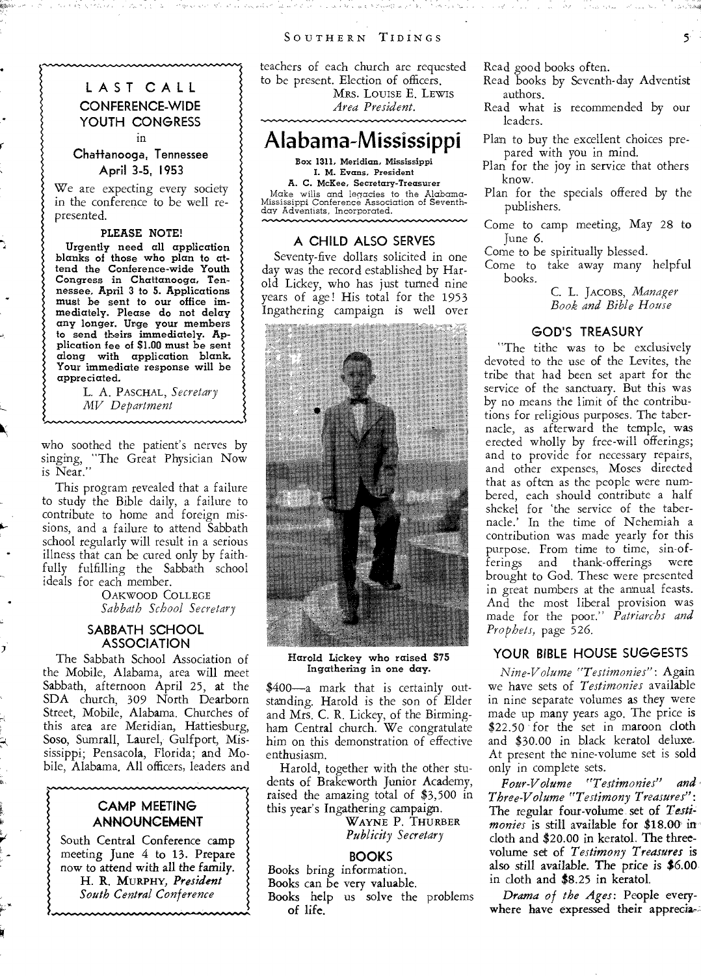**LAST CALL CONFERENCE-WIDE YOUTH CONGRESS**  in

**Chattanooga, Tennessee April 3-5, 1953** 

We are expecting every society in the conference to be well represented.

#### **PLEASE NOTE!**

Urgently need all application blanks of those who plan to attend the Conference-wide Youth Congress in Chattanooga, Tennessee, April 3 to 5. Applications must be sent to our office immediately. Please do not delay any longer. Urge your members to send theirs immediately. Application fee of **\$1.00** must be sent along with application blank. Your immediate response will be appreciated.

> L. A. PASCHAL, *Secretary MV Department*

 $\mathbf{\hat{y}}$ 

who soothed the patient's nerves by singing, "The Great Physician Now is Near."

This program revealed that a failure to study the Bible daily, a failure to contribute to home and foreign missions, and a failure to attend Sabbath school regularly will result in a serious illness that can be cured only by faithfully fulfilling the Sabbath school ideals for each member.

> OAKWOOD COLLEGE *Sabbath School Secretary*

#### **SABBATH SCHOOL ASSOCIATION**

The Sabbath School Association of the Mobile, Alabama, area will meet Sabbath, afternoon April 25, at the SDA church, 309 North Dearborn Street, Mobile, Alabama. Churches of this area are Meridian, Hattiesburg, Soso, Sumrall, Laurel, Gulfport, Mississippi; Pensacola, Florida; and Mobile, Alabama. All officers, leaders and

#### **CAMP MEETING ANNOUNCEMENT**

South Central Conference camp meeting June 4 to 13. Prepare now to attend with all the family. H. **R.** MURPHY, *President South Central Conference* 

teachers of each church are requested to be present. Election of officers. MRS. LOUISE E. LEWIS *Area President.* 

## **Alabama-Mississippi**

Box 1311, Meridian, Mississippi I. M. Evans, President A. C. McKee, Secretary-Treasurer Make wills and legacies to the Alabama-Mississippi Conference Association of Seventhday Adventists, Incorporated.

#### **A CHILD ALSO SERVES**

Seventy-five dollars solicited in one day was the record established by Harold Lickey, who has just turned nine years of age! His total for the 1953 Ingathering campaign is well **over** 



Harold Lickey who raised \$75 Ingathering in one day.

\$400—a mark that is certainly outstanding. Harold is the son of Elder and Mrs. C. R. Lickey, of the Birmingham Central church. We congratulate him on this demonstration of effective enthusiasm.

Harold, together with the other students of Brakeworth junior Academy, raised the amazing total of \$3,500 in this year's Ingathering campaign.

WAYNE P. THURBER *Publicity Secretary* 

#### **BOOKS**

Books bring information.

Books can be very valuable.

Books help us solve the problems of *life.* 

Read good books often.

- Read books by Seventh-day Adventist authors.
- Read what is recommended by our leaders.
- Plan to buy the excellent choices prepared with you in mind.
- Plan for the joy in service that others know.
- Plan for the specials offered by the publishers.
- Come to camp meeting, May 28 to June 6.

Come to be spiritually blessed.

Come to take away many helpful books.

> C. L. JAcoBs, *Manager Book and Bible House*

#### **GOD'S TREASURY**

"The tithe was to be exclusively devoted to the use of the Levites, the tribe that had been set apart for the service of the sanctuary. But this was by no means the limit of the contributions for religious purposes. The tabernacle, as afterward the temple, was erected wholly by free-will offerings; and to provide for necessary repairs, and other expenses, Moses directed that as often as the people were numbered, each should contribute a half shekel for 'the service of the tabernacle.' In the time of Nehemiah a contribution was made yearly for this purpose. From time to time, sin-offerings and thank-offerings were brought to God. These were presented in great numbers at the annual feasts. And the most liberal provision was made for the poor." *Patriarchs and Prophets,* page 526.

#### **YOUR BIBLE HOUSE SUGGESTS**

*Nine-Volume "Testimonies":* Again we have sets of *Testimonies* available in nine separate volumes as they were made up many years ago. The price is \$22.50 for the set in maroon cloth and \$30.00 in black keratol deluxe. At present the nine-volume set is sold only in complete sets.

*Four-Volume "Testimonies" and-Three-Volume "Testimony Treasures":*  The regular four-volume set of *Testimonies* is still available for \$18.00 in cloth and \$20.00 in keratol. The threevolume set of *Testimony Treasures* is also still available. The price is \$6.00 in cloth and \$8.25 in keratol.

*Drama of the Ages:* People everywhere have expressed their apprecia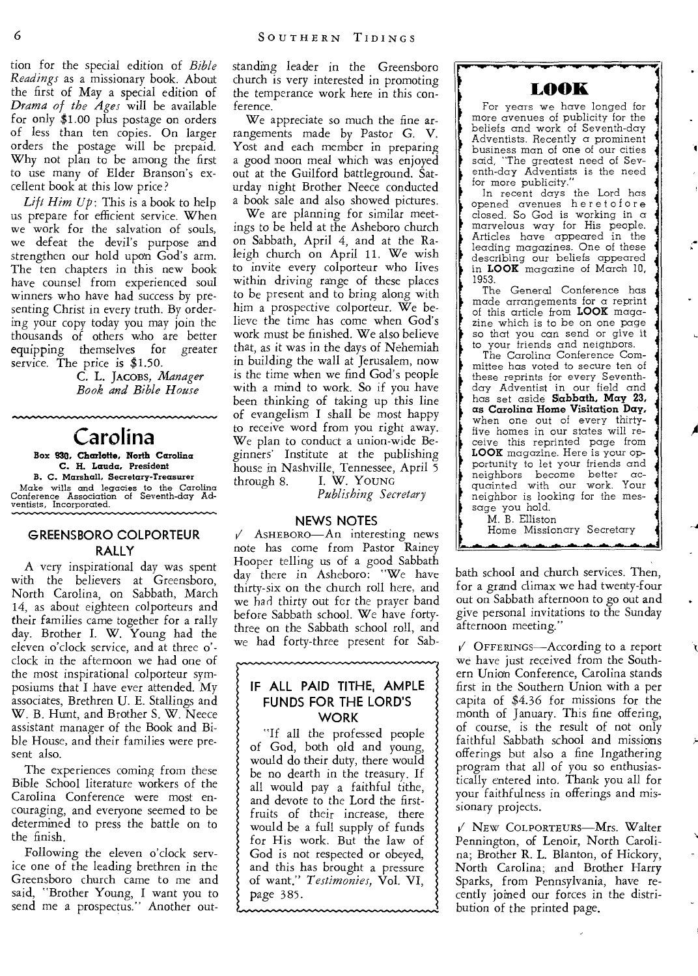tion for the special edition of *Bible Readings* as a missionary book. About the first of May a special edition of *Drama of the Ages* will be available for only \$1.00 plus postage on orders of less than ten copies. On larger orders the postage will be prepaid. Why not plan to be among the first to use many of Elder Branson's excellent book at this low price?

*Lift Him Up:* This is a book to help us prepare for efficient service. When we work for the salvation of souls, we defeat the devil's purpose and strengthen our hold upon God's arm. The ten chapters in this new book have counsel from experienced soul winners who have had success by presenting Christ in every truth. By ordering your copy today you may join the thousands of others who are better equipping themselves for greater service. The price is \$1.50.

C. L. **JACOBS,** *Manager Book and Bible House* 

# **Carolina**

**Box 930. Charlotte, North Carolina C. H. Lauda, President B. C. Marshall. Secretary-Treasurer**  Make wills and legacies to the Carolina Conference Association of Seventh-day Ad-ventists, Incorporated.

#### **GREENSBORO COLPORTEUR RALLY**

A very inspirational day was spent with the believers at Greensboro, North Carolina, on Sabbath, March 14, as about eighteen colporteurs and their families came together for a rally day. Brother I. W. Young had the eleven o'clock service, and at three o' clock in the afternoon we had one of the most inspirational colporteur symposiums that I have ever attended. My associates, Brethren U. E. Stallings and W. B. Hunt, and Brother S. W. Neece assistant manager of the Book and Bible House, and their families were present also.

The experiences coming from these Bible School literature workers of the Carolina Conference were most encouraging, and everyone seemed to be determined to press the battle on to the finish.

Following the eleven o'clock service one of the leading brethren in the Greensboro church came to me and said, "Brother Young, I want you to send me a prospectus." Another outstanding leader in the Greensboro church is very interested in promoting the temperance work here in this conference.

We appreciate so much the fine arrangements made by Pastor G. V. Yost and each member in preparing a good noon meal which was enjoyed out at the Guilford battleground. Saturday night Brother Neece conducted a book sale and also showed pictures.

We are planning for similar meetings to be held at the Asheboro church on Sabbath, April 4, and at the Raleigh church on April 11. We wish to invite every colporteur who lives within driving range of these places to be present and to bring along with him a prospective colporteur. We believe the time has come when God's work must be finished. We also believe that, as it was in the days of Nehemiah in building the wall at Jerusalem, now is the time when we find God's people with a mind to work. So if you have been thinking of taking up this line of evangelism I shall be most happy to receive word from you right away. We plan to conduct a union-wide Beginners' Institute at the publishing house in Nashville, Tennessee, April 5 through 8. I. W. YOUNG

*Publishing Secretary* 

#### **NEWS NOTES**

✓ ASHEBORO—An interesting news note has come from Pastor Rainey Hooper telling us of a good Sabbath day there in Asheboro: "We have thirty-six on the church roll here, and we had thirty out for the prayer band before Sabbath school. We have fortythree on the Sabbath school roll, and we had forty-three present for Sab-

#### **IF ALL PAID TITHE, AMPLE FUNDS FOR THE LORD'S WORK**

"If all the professed people of God, both old and young, would do their duty, there would be no dearth in the treasury. If all would pay a faithful tithe, and devote to the Lord the firstfruits of their increase, there would be a full supply of funds for His work. But the law of God is not respected or obeyed, and this has brought a pressure of want." *Testimonies,* Vol. VI, page 385.



 $\overline{\phantom{a}}$ 

For years we have longed for more avenues of publicity for the beliefs and work of Seventh-day Adventists. Recently a prominent business man of one of our cities said, "The greatest need of Seventh-day Adventists is the need for more publicity."

In recent days the Lord has opened avenues her et of ore closed. So God is working in a marvelous way for His people. Articles have appeared in the leading magazines. One of these describing our beliefs appeared in **LOOK** magazine of March 10, 1953.

The General Conference has made arrangements for a reprint of this article from **LOOK** magazine which is to be on one page so that you can send or give it

to your friends and neighbors. The Carolina Conference Committee has voted to secure ten of these reprints for every Seventhday Adventist in our field and has set aside **Sabbath, May 23, as Carolina Home Visitation Day,**  when one out of every thirtyfive homes in our states will receive this reprinted page from **LOOK** magazine. Here is your opportunity to let your friends and neighbors become better acquainted with our work. Your neighbor is looking for the message you hold.

M. B. Elliston Home Missionary Secretary

bath school and church services. Then, for a grand climax we had twenty-four out on Sabbath afternoon to go out and *give* personal invitations to the Sunday afternoon meeting."

 $\sqrt{ }$  OFFERINGS—According to a report we have just received from the Southern Unian Conference, Carolina stands first in the Southern Union with a per capita of \$4.36 for missions for the month of January. This fine offering, of course, is the result of not only faithful Sabbath school and missions offerings but also a fine Ingathering program that all of you so enthusiastically entered into. Thank you all for your faithfulness in offerings and missionary projects.

 $V$  New COLPORTEURS-Mrs. Walter Pennington, of Lenoir, North Carolina; Brother R. L. Blanton, of Hickory, North Carolina; and Brother Harry Sparks, from Pennsylvania, have recently joined our forces in the distribution of the printed page.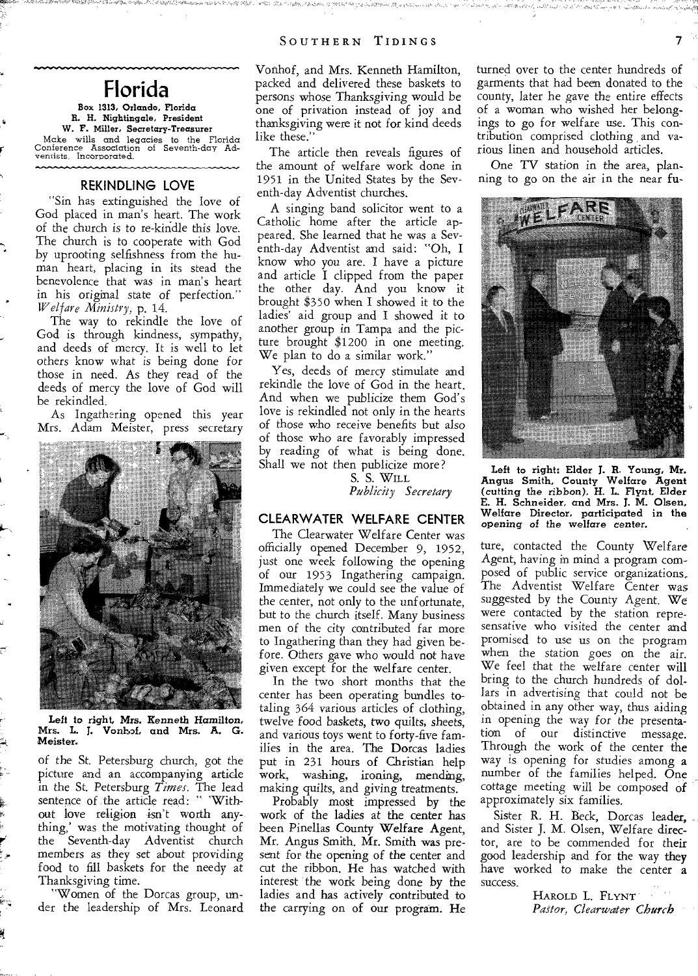# **Florida**

#### **Box 1313, Orlando, Florida R. N. Nightingale, President W. F. Miller. Secretary-Treasurer**

Make wills and legacies to the Florida Conference Association of Seventh-day Adventists, Incorporated.

#### **REKINDLING LOVE**

"Sin has extinguished the love of God placed in man's heart. The work of the church is to re-kindle this love. The church is to cooperate with God by uprooting selfishness from the human heart, placing in its stead the benevolence that was in man's heart in his original state of perfection." *Welfare Ministry,* p. 14.

The way to rekindle the love of God is through kindness, sympathy, and deeds of mercy. It is well to let others know what is being done for those in need. As they read of the deeds of mercy the love of God will be rekindled.

As Ingathering opened this year Mrs. Adam Meister, press secretary



Left to right, Mrs. Kenneth Hamilton,<br>Mrs. L. J. Vonkof, and Mrs. A. G. Vonhof, and Mrs. A. G. Meister.

of the St. Petersburg church, got the picture and an accompanying article in the St. Petersburg *Times.* The lead sentence of the article read: " 'Without love religion isn't worth anything,' was the motivating thought of the Seventh-day Adventist church members as they set about providing food to fill baskets for the needy at Thanksgiving time.

"Women of the Dorcas group, under the leadership of Mrs. Leonard

Vonhof, and Mrs. Kenneth Hamilton, packed and delivered these baskets to persons whose Thanksgiving would be one of privation instead of joy and thanksgiving were it not for kind deeds like these.'

The article then reveals figures of the amount of welfare work done in 1951 in the United States by the Seventh-day Adventist churches.

A singing band solicitor went to a Catholic home after the article appeared. She learned that he was a Seventh-day Adventist and said: "Oh, I know who you are. I have a picture and article I clipped from the paper the other day. And you know it brought \$350 when I showed it to the ladies' aid group and I showed it to another group in Tampa and the picture brought \$1200 in one meeting. We plan to do a similar work."

Yes, deeds of mercy stimulate and rekindle the love of God in the heart. And when we publicize them God's love is rekindled not only in the hearts of those who *receive* benefits but also of those who are favorably impressed by reading of what is being done. Shall we not then publicize more?

S. S. WILL *Publicity Secretary* 

#### **CLEARWATER WELFARE CENTER**

The Clearwater Welfare Center was officially opened December 9, 1952, just one week following the opening of our 1953 Ingathering campaign. Immediately we could see the value of the center, not only to the unfortunate, but to the church itself. Many business men of the city contributed far more to Ingathering than they had given before. Others gave who would not have given except for the welfare center.

In the two short months that the center has been operating bundles totaling 364 various articles of clothing, twelve food baskets, two quilts, sheets, and various toys went to forty-five families in the area. The Dorcas ladies put in 231 hours of Christian help work, washing, ironing, mending, making quilts, and giving treatments.

Probably most impressed by the work of the ladies at the center has been Pinellas County Welfare Agent, Mr. Angus Smith. Mr. Smith was present for the opening of the center and cut the ribbon. He has watched with interest the work being done by the ladies and has actively contributed to the carrying on of our program. He

turned over to the center hundreds of garments that had been donated to the county, later he gave the entire effects of a woman who wished her belongings to go for welfare use. This contribution comprised clothing and various linen and household articles.

One TV station in the area, planning to go on the air in the near fu-



*Left* to right: Elder J. R. Young, Mr. Angus Smith, County Welfare Agent *(cutting the ribbon),* H. L. Flynt, Elder E. H. Schneider, and Mrs. J. M. Olsen, Welfare Director, participated in *the opening* of the welfare *center.* 

ture, contacted the County Welfare Agent, having in mind a program composed of public service organizations, The Adventist Welfare Center was suggested by the County Agent. We were contacted by the station represensative who visited the center and promised to use us on the program when the station *goes* on the air. We feel that the welfare center will bring to the church hundreds of dollars in advertising that could not be obtained in any other way, thus aiding in opening the way for *the* presentation of our distinctive message. Through the work of the center the way is opening for studies among a number of the families helped. One cottage *meeting* will be composed of approximately six families.

Sister R. H. Beck, Dorcas leader, and Sister J. M. Olsen, Welfare director, are to be commended for their good leadership and for the way they have worked to make the center a success.

> HAROLD L. **FLYNT**  *Pastor, Clearwater Church*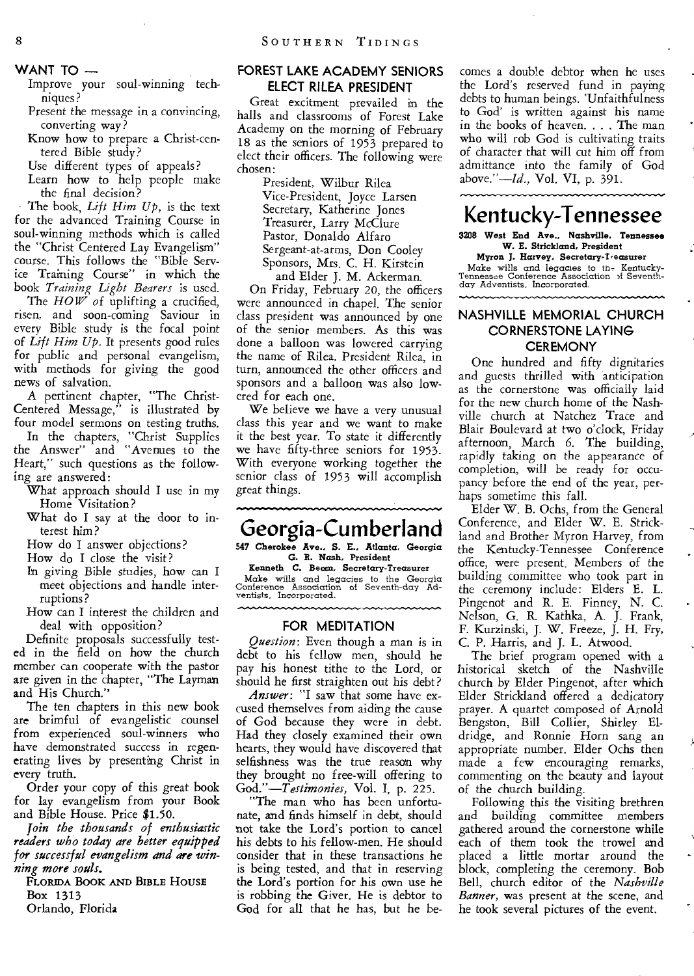**WANT TO** —

Improve your soul-winning techniques?

Present the message in a convincing, converting way?

Know how to prepare a Christ-centered Bible study?

Use different types of appeals?

Learn how to help people make the final decision?

The book, Lift Him Up, is the text for the advanced Training Course in soul-winning methods which is called the "Christ Centered Lay Evangelism" course. This follows the "Bible Service Training Course" in which the book *Training Light Bearers* is used.

The HOW of uplifting a crucified, risen, and soon-coming Saviour in every Bible study is the focal point of *Lift Him Up.* It presents good rules for public and personal evangelism, with methods for giving the good news of salvation.

A pertinent chapter, "The Christ-Centered Message," is illustrated by four model sermons on testing truths. In the chapters, "Christ Supplies the Answer" and "Avenues to the Heart," such questions as the following are answered:

What approach should I use in my Home Visitation?

What do I say at the door to interest him?

How do I answer objections?

How do I close the visit?

- In giving Bible studies, how can I meet objections and handle interruptions?
- How can I interest the children and deal with opposition?

Definite proposals successfully tested in the field on how the church member can cooperate with the pastor are given in the chapter, "The Layman and His Church."

The ten chapters in this new book are brimful of evangelistic counsel from experienced soul-winners who have demonstrated success in regenerating lives by presenting Christ in every truth.

Order your copy of this great book for lay evangelism from your Book and Bible House. Price \$1.50.

*Join the thousands of enthusiastic readers who today are better equipped for successful evangelism and* are *winning more souls.* 

**FLORIDA BOOK AND BIBLE HOUSE**  Box 1313

Orlando, Florida

#### **FOREST LAKE ACADEMY SENIORS ELECT RILEA PRESIDENT**

Great excitment prevailed in the halls and classrooms of Forest Lake Academy on the morning of February 18 as the seniors of 1953 prepared to elect their officers. The following were chosen:

> President, Wilbur Rilea Vice-President, Joyce Larsen Secretary, Katherine Jones Treasurer, Larry McClure Pastor, Donaldo Alfaro Sergeant-at-arms, Don Cooley Sponsors, Mrs. C. H. Kirstein and Elder J. M. Ackerman.

On Friday, February 20, the officers were announced in chapel. The senior class president was announced by one of the senior members. As this was done a balloon was lowered carrying the name of Rilea. President Rilea, in turn, announced the other officers and sponsors and a balloon was also lowered for each one.

We believe we have a very unusual class this year and we want to make it the best year. To state it differently we have fifty-three seniors for 1953. With everyone working together the senior class of 1953 will accomplish great things.

# **Georgia-Cumberland**

**547 Cherokee Ave., S. E., Atlanta, Georgia G. R. Nash,** President

Kenneth C. Beem, Secretary-Treasurer Make wills and legacies to the Georgia Conference Association of Seventh-day Ad-ventists, Incorporated.

#### **FOR MEDITATION**

*Question:* Even though a man is in debt to his fellow men, should he pay his honest tithe to the Lord, or should he first straighten out his debt?

*Answer:* "I saw that some have excused themselves from aiding the cause of God because they were in debt. Had they closely examined their own hearts, they would have discovered that selfishness was the true reason why they brought no free-will offering to *God."—Testimonies,* Vol. I, p. 225.

"The man who has been unfortunate, and finds himself in debt, should not take the Lord's portion to cancel his debts to his fellow-men. He should consider that in these transactions he is being tested, and that in reserving the Lord's portion for his own use he is robbing the Giver. He is debtor to God for all that he has, but he be-

comes a double debtor when he uses the Lord's reserved fund in paying debts to human beings. 'Unfaithfulness to God' is written against his name in the books of heaven. . . . The man who will rob God is cultivating traits of character that will cut him off from admittance into the family of God above."—Id., Vol. VI, p. 391.

# **Kentucky-Tennessee**

**3208 West End Ave.. Nashville. Tennessee W. E. Strickland, President** 

**Myron J. Harvey. Secretary-Treasurer**  Make wills and legacies to th- Kentucky-Tennessee Conference Association ,f Seventh-day Adventists, Incorporated.

#### **NASHVILLE MEMORIAL CHURCH CORNERSTONE LAYING CEREMONY**

One hundred and fifty dignitaries and guests thrilled with anticipation as the cornerstone was officially laid for the new church home of the Nashville church at Natchez Trace and Blair Boulevard at two o'clock, Friday afternoon, March 6. The building, rapidly taking on the appearance of completion, will be ready for occupancy before the end of the year, perhaps sometime this fall.

Elder W. B. Ochs, from the General Conference, and Elder W. E. Strickland and Brother Myron Harvey, from the Kentucky-Tennessee Conference office, were present. Members of the building committee who took part in the ceremony include: Elders E. L. Pingenot and R. E. Finney, N. C. Nelson, G. R. Kathka, A. J. Frank, F. Kurzinski, J. W. Freeze, J. H. Fry, C. P. Harris, and J. L. Atwood.

The brief program opened with a historical sketch of the Nashville church by Elder Pingenot, after which Elder Strickland offered a dedicatory prayer. A quartet composed of Arnold Bengston, Bill Collier, Shirley Eldridge, and Ronnie Horn sang an appropriate number. Elder Ochs then made a few encouraging remarks, commenting on the beauty and layout of the church building.

Following this the visiting brethren and building committee members gathered around the cornerstone while each of them took the trowel and placed a little mortar around the block, completing the ceremony. Bob Bell, church editor of the *Nashville Banner,* was present at the scene, and he took several pictures of the event.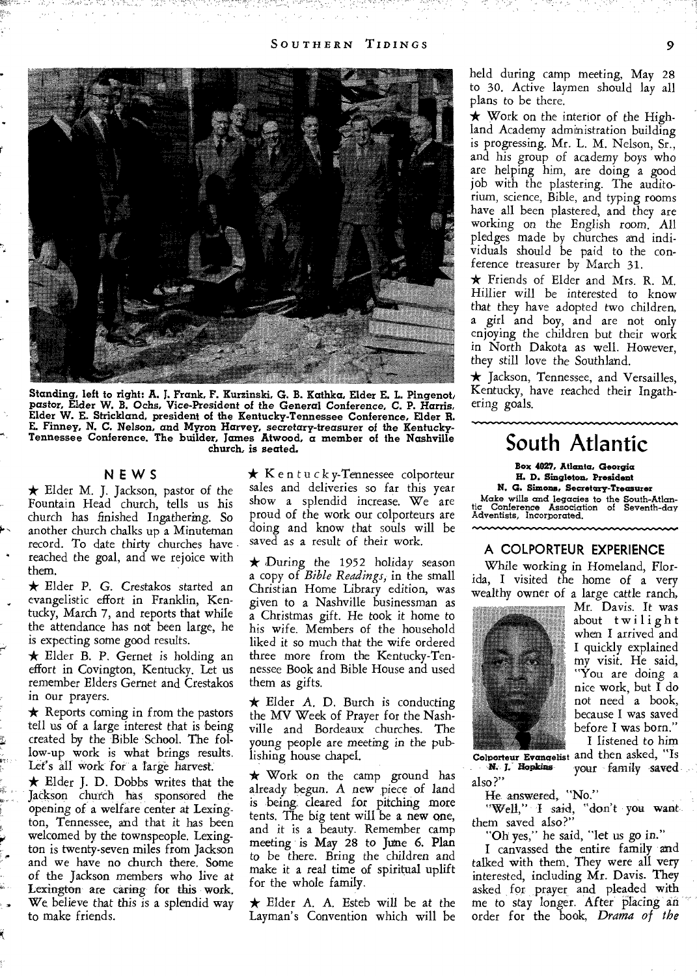

**Standing, left to right: A. J. Frank, F. Kurzinski, G. B. Kathka, Elder E. L. Pingenoti pastor, Elder W. B. Ochs, Vice-President of** *the General Conference,* **C. P. Harris, Elder W. E. Strickland, president of the Kentucky-Tennessee Conference, Elder R. E. Finney, N. C. Nelson, and Myron Harvey,** *secretary-treasurer* **of the Kentucky-Tennessee Conference. The builder, James Atwood, a member of the Nashville church, is seated.** 

#### **NEWS**

 $\star$  Elder M. J. Jackson, pastor of the Fountain Head church, tells us his church has finished Ingathering. So another church chalks up a Minuteman record. To date thirty churches have reached the goal, and we rejoice with them.

\* Elder P. G. Crestakos started an evangelistic effort in Franklin, Kentucky, March 7, and reports that while the attendance has not been large, he is expecting some good results.

 $\star$  Elder B. P. Gernet is holding an effort in Covington, Kentucky. Let us remember Elders Gernet and Crestakos in our prayers.

 $\star$  Reports coming in from the pastors tell us of a large interest that is being created by the Bible School. The follow-up work is what brings results. Let's all work for a large harvest.

 $\star$  Elder J. D. Dobbs writes that the Jackson church has sponsored the opening of a welfare center at Lexington, Tennessee, and that it has been welcomed by the townspeople. Lexington is twenty-seven miles from Jackson and we have no church there. Some of the Jackson members who live at Lexington are caring for this work. We, believe that this is a splendid way to make friends.

 $\star$  K e n t u c k y-Tennessee colporteur sales and deliveries so far this year show a splendid increase. We are proud of the work our colporteurs are doing and know that souls will be *saved* as a result of their work.

 $\star$  During the 1952 holiday season a copy of *Bible Readings;* in the small Christian Home Library edition, was given to a Nashville businessman as a Christmas gift. He took it home to his wife. Members of the household liked it so much that the wife ordered three more from the Kentucky-Tennessee Book and Bible House and used them as gifts.

 $\star$  Elder A. D. Burch is conducting the MV Week of Prayer for the Nashville and Bordeaux churches. The young people are *meeting in* the publishing house chapel.

\* Work on the camp ground has already begun. A new piece of land is being. cleared for pitching more tents. The big tent will be a new one, and it is a beauty. Remember camp meeting is May 28 to June 6. Plan to be there. Bring the children and make it a real time of spiritual uplift for the whole family.

 $\star$  Elder A. A. Esteb will be at the Layman's Convention which will be held during camp meeting, May 28 to 30. Active laymen should lay all plans to be there.

 $\star$  Work on the interior of the Highland Academy administration building is progressing. Mr. L. M. Nelson, Sr., and his group of academy boys who are helping him, are doing a good job with the plastering. The auditorium, science, Bible, and typing rooms have all been plastered, and they are working on the English room. All pledges made by churches and individuals should be paid to the conference treasurer by March 31.

\* Friends of Elder and Mrs. R. M. Hillier will be interested to know that they have adopted two children, a girl and boy, and are not only enjoying the children but their work in North Dakota as well. However, they still love the Southland.

\* Jackson, Tennessee, and Versailles, Kentucky, have reached their Ingathering goals.

# **South Atlantic**

**Box 4027, Atlanta, Georgia** 

**H. D. Singleton. President** 

**N. G. Simons, Secretary-Treasurer**  Make wills and legacies to the South-Atlan-tic Conference Association of Seventh-day tic Conference Association<br>Adventists, Incorporated.

## **A COLPORTEUR EXPERIENCE**

**ONO ..+111.11,1111 •••-•••••••** 

While working in Homeland, Florida, I visited the home of a very wealthy owner of a large cattle ranch,



Mr. Davis. It was about twilight when I arrived and I quickly explained my visit. He said, "You are doing a nice work, but I do not need a book, because I was saved before I was born." I listened to him

*Colporteur Evangelist*  and then asked, "Is N. *1."'*  your family saved also?"

He answered, "No."

"Well," I said, "don't you want them saved also?"

"Oh yes," he said, "let us go in."

I canvassed the entire family and talked with them. They were all very interested, including Mr. Davis. They asked for prayer and pleaded with me to stay longer. After *placing*  order for the book, *Drama of the*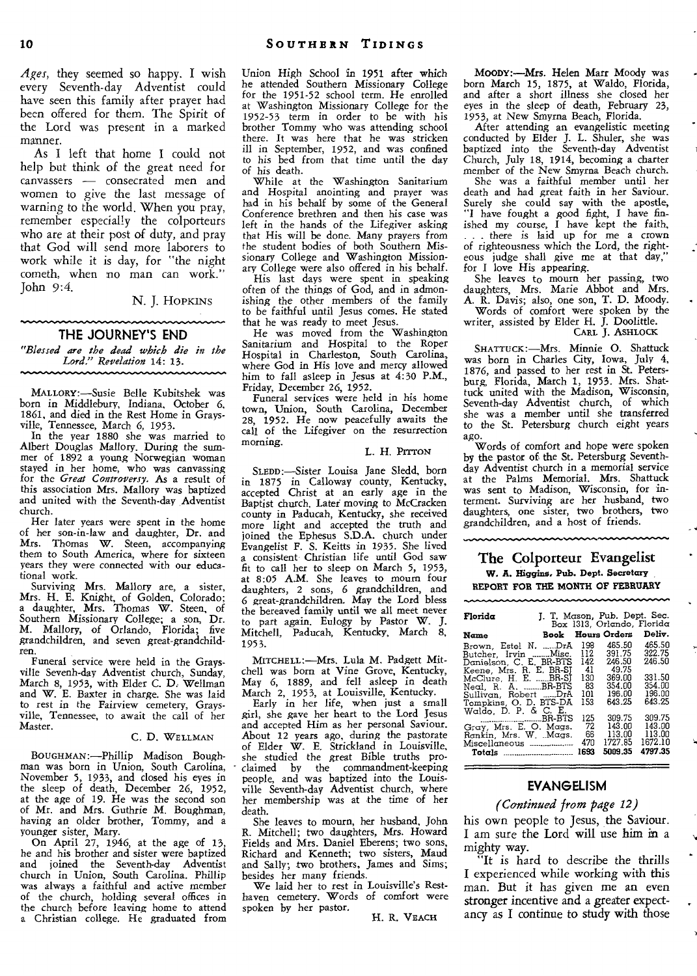*Ages,* they seemed so happy. I wish every Seventh-day Adventist could have seen this family after prayer had been offered for them. The Spirit of the Lord was present in a marked manner.

As I left that home I could not help but think of the great need for canvassers — consecrated men and women to *give* the last message of warning to the world. When you pray, remember especially the colporteurs who are at their post of duty, and pray that God will send more laborers to work while it is day, for "the night cometh, when no man can work." John 9:4.

N. J. HOPKINS

#### **THE JOURNEY'S END**

*"Blessed are the dead which die in the Lord." Revelation* 14: 13.

MALLORY:—Susie Belle Kubitshek was born in Middlebury, Indiana, October 6, 1861, and died in the Rest Home in Grays-

vine, Tennessee, March 6, 1953. In the year 1880 she was married to Albert Douglas Mallory. During the summer of 1892 a young Norwegian woman stayed in her home, who was canvassing for the *Great Controversy.* As a result of this association Mrs. Mallory was baptized and united with the Seventh-day Adventist church.

Her later years were spent in the home of her son-in-law and daughter, Dr. and Mrs. Thomas W. Steen, accompanying them to South America, where for sixteen years they were connected with our educational work.

Surviving Mrs. Mallory are, a sister, Mrs. H. E. Knight, of Golden, Colorado; a daughter, Mrs. Thomas W. Steen, of Southern Missionary College; a son, Dr. M. Mallory, of Orlando, Florida; five grandchildren, and seven great-grandchildren.

Funeral service were held in the Graysville Sevenh-day Adventist church, Sunday, March 8, 1953, with Elder C. D. Wellman and W. E. Baxter in charge. She was laid to rest in the Fairview cemetery, Graysville, Tennessee, to await the call of her Master.

#### C. D. WELLMAN

BOUGHMAN:—Phillip Madison Bough-man was born in Union, South Carolina, November 5, 1933, and closed his eyes in the sleep of death, December 26, 1952, at the age of 19. He was the second son of Mr. and Mrs. Guthrie M. Boughman, having an older brother, Tommy, and a younger sister, Mary.

On April 27, 1946, at the age of 13, he and his brother and sister were baptized and joined the Seventh-day Adventist church in Union, South Carolina. Phillip was always a faithful and active member of the church, holding several offices in the church before leaving home to attend a Christian college. He graduated from

Union High School in 1951 after which he attended Southern Missionary College for the 1951-52 school term. He enrolled at Washington Missionary College for the 1952-53 term in order to be with his brother Tommy who was attending school there. It was here that he was stricken ill in September, 1952, and was confined to his bed from that time until the day of his death.

While at the Washington Sanitarium and Hospital anointing and prayer was had in his behalf by some of the General Conference brethren and then his case was left in the hands of the Lifegiver asking that His will be done. Many prayers from the student bodies of both Southern Missionary College and Washington Missionary College were also offered in his behalf. His last days were spent in speaking

often of the things of God, and in admonishing the other members of the family to be faithful until Jesus comes. He stated that he was ready to meet Jesus.

He was moved from the Washington Sanitarium and Hospital to the Roper Hospital in Charleston, South Carolina, where God in His love and mercy allowed him to fall asleep in Jesus at 4:30 P.M., Friday, December 26, 1952.

Funeral services were held in his home town, Union, South Carolina, December 28, 1952. He now peacefully awaits the call of the Lifegiver on the resurrection morning.

#### L. H. PITTON

SLEDD:—Sister Louisa Jane Sledd, born in 1875 in Calloway county, Kentucky, accepted Christ at an early age in the Baptist church. Later moving to McCracken county in Paducah, Kentucky, she received more light and accepted the truth and joined the Ephesus S.D.A. church under Evangelist F. S. Keitts in 1935. She lived a consistent Christian life until God saw fit to call her to sleep on March 5, 1953, at 8:05 A.M. She leaves to mourn four daughters, 2 sons, 6 grandchildren, and 6 great-grandchildren. May the Lord bless the bereaved family until we all meet never to part again. Eulogy by Pastor W. J. Mitchell, Paducah, Kentucky, March 8, 1953.

MITCHELL:—Mrs. Lula M. Padgett Mitchell was born at Vine Grove, Kentucky, May 6, 1889, and fell asleep in death

March 2, 1953, at Louisville, Kentucky. Early in her life, when just a small girl, she gave her heart to the Lord Jesus and accepted Him as her personal Saviour. About **12** years ago, during the pastorate of Elder W. E. Strickland in Louisville, she studied the great Bible truths proclaimed by the commandment-keeping people, and was baptized into the Louisville Seventh-day Adventist church, where her membership was at the time of her death.

She leaves to mourn, her husband, John R. Mitchell; two daughters, Mrs. Howard Fields and Mrs. Daniel Eberens; two sons, Richard and Kenneth; two sisters, Maud and Sally; two brothers, James and Sims; besides her many friends.

We laid her to rest in Louisville's Rest-haven cemetery. Words of comfort were spoken by her pastor.

H. R. VEACH

**MOODY:—Mrs.** Helen Marr Moody was born March 15, 1875, at Waldo, Florida, and after a short illness she closed her eyes in the sleep of death, February 23, 1953, at New Smyrna Beach, Florida.

After attending an evangelistic meeting conducted by Elder J. L. Shuler, she was baptized into the Seventh-day Adventist Church, July 18, 1914, becoming a charter member of the New Smyrna Beach church.

She was a faithful member until her death and had great faith in her Saviour. Surely she could say with the apostle, "I have fought a good fight, I have finished my course, I have kept the faith,<br>
... there is laid up for me a crown<br>
of righteousness which the Lord, the righteous judge shall give me at that day," for I love His appearing. She leaves to mourn her passing, two

daughters, Mrs. Marie Abbot and Mrs. A. R. Davis; also, one son, T. D. Moody. Words of comfort were spoken by the

writer, assisted by Elder H. J. Doolittle.

#### CARL J. ASHLOCK

SHATTUCK:—Mrs. Minnie 0. Shattuck was born in Charles City, Iowa, July 4, 1876, and passed to her rest in St. Petersburg, Florida, March 1, 1953. Mrs. Shattuck united with the Madison, Wisconsin, Seventh-day Adventist church, of which she was a member until she transferred to the St. Petersburg church eight years ago.

Words of comfort and hope were spoken by the pastor of the St. Petersburg Seventhday Adventist church in a memorial service at the Palms Memorial. Mrs. Shattuck was sent to Madison, Wisconsin, for interment. Surviving are her husband, two daughters, one sister, two brothers, two grandchildren, and a host of friends.

#### The Colporteur Evangelist W. **A. Higgins, Pub. Dept. Secretary REPORT FOR THE MONTH OF FEBRUARY**

| Florida                                                                                                                                                                                                                   |                                                      | J. T. Mason, Pub. Dept. Sec.<br>Box 1313. Orlando, Florida                  |                                                                    |
|---------------------------------------------------------------------------------------------------------------------------------------------------------------------------------------------------------------------------|------------------------------------------------------|-----------------------------------------------------------------------------|--------------------------------------------------------------------|
| Name                                                                                                                                                                                                                      |                                                      | <b>Book</b> Hours Orders                                                    | Deliv.                                                             |
| Brown, Estel N. DrA<br>Butcher, Irvin Misc.<br>Danielson, C. E. BR-BTS<br>Keene, Mrs. R. E. BR-SJ<br>McClure, H. E. BR-SJ<br>Neal, R. A. BR-BTS<br>Sullivan, Robert DrA<br>Tompkins, O. D. BTS-DA<br>Waldo, D. P. & C. E. | 198<br>112<br>142.<br>-41<br>130<br>83<br>101<br>153 | 465.50<br>391.75<br>246.50<br>49.75<br>369.00<br>354.00<br>196.00<br>643.25 | 465.50<br>322.75<br>246.50<br>331.50<br>354.00<br>196.00<br>643.25 |
| Gray, Mrs. E. O. Maas.<br>Rankin, Mrs. W. Mags.                                                                                                                                                                           | 125<br>72<br>66<br>470<br>1693                       | 309.75<br>143.00<br>113.00<br>1727.85<br>5009.35                            | 309.75<br>143.00<br>113.00<br>1672.10<br>4797.35                   |

#### **EVANGELISM**

#### *(Continued from page 12)*

his own people to Jesus, the Saviour. I am sure the Lord will use him in a mighty way.

It is hard to describe the thrills I experienced while working with this man. But it has given me an even stronger incentive and a greater expectancy as I continue to study with those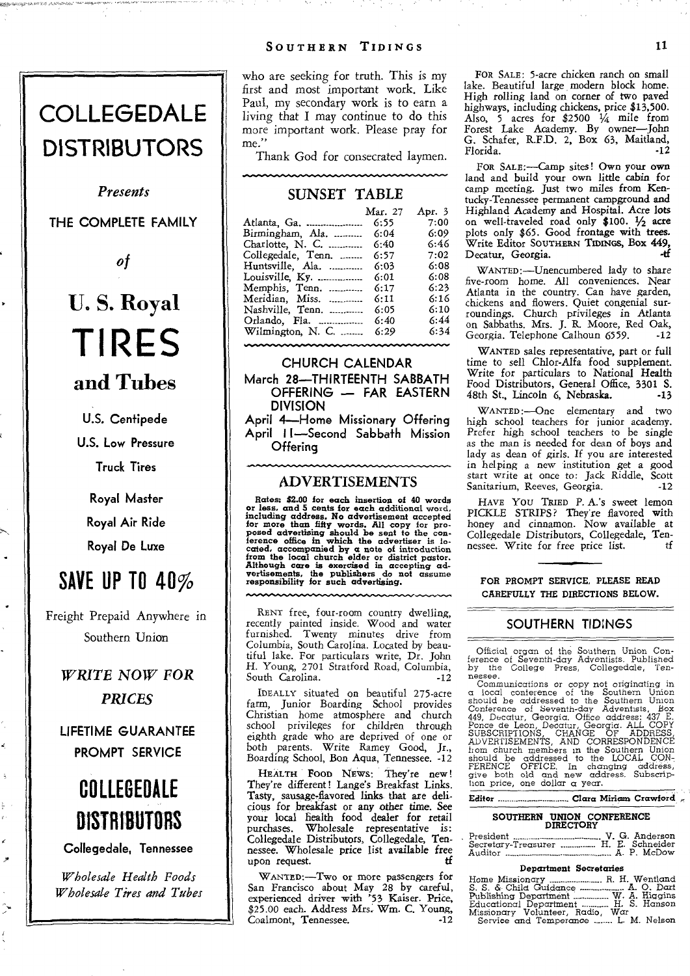# **COLLEGEDALE DISTRIBUTORS**

*Presents* 

**THE COMPLETE FAMILY** 

*of* 

# **U. S. Royal TIRES**

- **and Tubes**
- **U.S. Centipede U.S. Low Pressure**

**Truck Tires** 

**Royal Master Royal Air Ride Royal De Luxe** 

# **SAVE UP TO 40%**

Freight Prepaid Anywhere in Southern Union

*WRITE NOW FOR PRICES* 

**LIFETIME GUARANTEE PROMPT SERVICE** 

# **COLLEGEDALE DISTRIBUTORS**

**Collegedale, Tennessee** 

*Wholesale Health Foods Wholesale Tires and Tubes*  who are seeking for truth. This is my first and most important work. Like Paul, my secondary work is to earn a living that I may continue to do this more important work. Please pray for me."

Thank God for consecrated laymen.

#### SUNSET TABLE

|                     | Mar. 27 | Apr. 3 |
|---------------------|---------|--------|
| Atlanta, Ga.        | 6:55    | 7:00   |
| Birmingham, Ala.    | 6:04    | 6:09   |
| Charlotte, $N$ . C. | 6:40    | 6:46   |
| Collegedale, Tenn.  | 6:57    | 7:02   |
| Huntsville, Ala.    | 6:03    | 6:08   |
| Louisville, Ky.     | 6:01    | 6:08   |
| Memphis, Tenn.      | 6:17    | 6:23   |
| Meridian, Miss.     | 6:11    | 6:16   |
| Nashville, Tenn.    | 6:05    | 6:10   |
| Orlando, Fla.       | 6:40    | 6:44   |
| Wilmington, N. C.   | 6:29    | 6:34   |

#### **CHURCH CALENDAR**

**March 28—THIRTEENTH SABBATH OFFERING — FAR EASTERN DIVISION** 

**April 4—Home Missionary Offering April I I—Second Sabbath Mission Offering** 

#### ADVERTISEMENTS

Rates: \$2.00 for each insertion of 40 words<br>or less, and 5 cents for each additional word,<br>including address. No advertisement accepted<br>for more than fifty words. All copy for pro-<br>posed advertising should be sent to the c

RENT free, four-room country dwelling, recently painted inside. Wood and water furnished. Twenty minutes drive from Columbia, South Carolina. Located by beau-tiful lake. For particulars write, Dr. John H. Young, 2701 Stratford Road, Columbia, South Carolina.

IDEALLY situated on beautiful 275-acre farm, Junior Boarding School provides Christian home atmosphere and church school privileges for children through eighth grade who are deprived of one or both parents. Write Ramey Good, Jr., Boarding School, Bon Aqua, Tennessee. -12

HEALTH FOOD NEWS: They're new! They're different! Lange's Breakfast Links. Tasty, sausage-flavored links that are delicious for breakfast or any other time. See your local health food dealer for retail purchases. Wholesale representative is: Collegedale Distributors, Collegedale, Tennessee. Wholesale price list available free upon request.

WANTED:—Two or more passengers for San Francisco about May 28 by careful, experienced driver with '53 Kaiser. Price, \$25.00 each. Address Mrs. Wm. C. Young, Coalmont, Tennessee.

FOR SALE: 5-acre chicken ranch on small lake. Beautiful large, modern block home. High rolling land on corner of two paved highways, including chickens, price \$13,500. highways, including chickens, price \$13,500.<br>Also, 5 acres for \$2500 ¼ mile from<br>Forest Lake Academy. By owner—John G. Schafer, R.F.D. 2, Box 63, Maitland, Florida.

FOR SALE:—Camp sites! Own your own land and build your own little cabin for camp meeting. Just two miles from Kentucky-Tennessee permanent campground and Highland Academy and Hospital. Acre lots on well-traveled road only \$100. 1/2acre plots only \$65. Good frontage with trees. Write Editor SOUTHERN TIDINGS, Box 449, Decatur, Georgia.

WANTED:—Unencumbered lady to share five-room home. All conveniences. Near Atlanta in the country. Can have garden, chickens and flowers. Quiet congenial surroundings. Church privileges in Atlanta on Sabbaths. Mrs. J. R. Moore, Red Oak, Georgia. Telephone Calhoun 6559.

WANTED sales representative, part or full time to sell Chlor-Alfa food supplement. Write for particulars to National Health Food Distributors, General Office, 3301 S. 48th St., Lincoln 6, Nebraska.

WANTED:—One elementary and two high school teachers for junior academy. Prefer high school teachers to be single as the man is needed for dean of boys and lady as dean of girls. If you are interested in helping a new institution get a good start write at once to: Jack Riddle, Scott Sanitarium, Reeves, Georgia.

HAVE You TRIED P. A.'s sweet lemon PICKLE STRIPS? They're flavored with honey and cinnamon. Now available at Collegedale Distributors, Collegedale, Tennessee. Write for free price list.

FOR PROMPT SERVICE, PLEASE READ CAREFULLY THE DIRECTIONS BELOW.

#### **SOUTHERN TIDINGS**

Official organ of the Southern Union Conference of Seventh-day Adventists. Published by the College Press, Collegedale, Ten-

 $\begin{tabular}{ll} \textbf{n} \\ \textbf{c} & \textbf{Comunification} \\ \textbf{c} & \textbf{local}} \\ \textbf{c} & \textbf{local} \\ \textbf{c} & \textbf{in} \\ \textbf{c} & \textbf{in} \\ \textbf{c} & \textbf{in} \\ \textbf{c} & \textbf{in} \\ \textbf{c} & \textbf{in} \\ \textbf{c} & \textbf{in} \\ \textbf{c} & \textbf{in} \\ \textbf{c} & \textbf{in} \\ \textbf{c} & \textbf{in} \\ \textbf{c} & \textbf{in} \\ \textbf{c} & \textbf{in} \\ \textbf{c} & \$ 

Editor Clara Miricern Crawford,'

## SOUTHERN UNION CONFERENCE DIRECTORY

| Secretary-Treasurer  H. E. Schneider |  |  |
|--------------------------------------|--|--|
|                                      |  |  |

#### Department Secretaries

| Home Missionary  R. H. Wentland      |  |
|--------------------------------------|--|
| S. S. & Child Guidance  A. O. Dart   |  |
| Publishing Department  W. A. Higgins |  |
| Educational Department  H. S. Hanson |  |
| Missionary Volunteer, Radio, War     |  |
| Service and Temperance  L. M. Nelson |  |